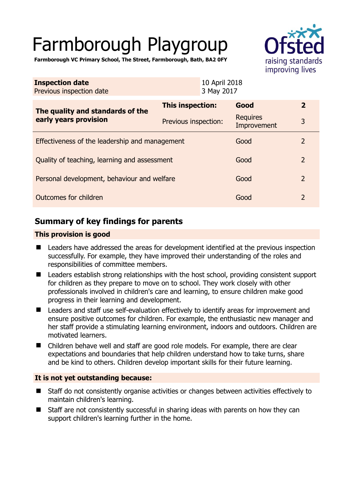# Farmborough Playgroup



**Farmborough VC Primary School, The Street, Farmborough, Bath, BA2 0FY** 

| <b>Inspection date</b><br>Previous inspection date        | 10 April 2018<br>3 May 2017 |  |                                |                |
|-----------------------------------------------------------|-----------------------------|--|--------------------------------|----------------|
| The quality and standards of the<br>early years provision | This inspection:            |  | Good                           | $\overline{2}$ |
|                                                           | Previous inspection:        |  | <b>Requires</b><br>Improvement | 3              |
| Effectiveness of the leadership and management            |                             |  | Good                           | $\overline{2}$ |
| Quality of teaching, learning and assessment              |                             |  | Good                           | $\overline{2}$ |
| Personal development, behaviour and welfare               |                             |  | Good                           | $\overline{2}$ |
| Outcomes for children                                     |                             |  | Good                           | $\overline{2}$ |

## **Summary of key findings for parents**

#### **This provision is good**

- Leaders have addressed the areas for development identified at the previous inspection successfully. For example, they have improved their understanding of the roles and responsibilities of committee members.
- Leaders establish strong relationships with the host school, providing consistent support for children as they prepare to move on to school. They work closely with other professionals involved in children's care and learning, to ensure children make good progress in their learning and development.
- Leaders and staff use self-evaluation effectively to identify areas for improvement and ensure positive outcomes for children. For example, the enthusiastic new manager and her staff provide a stimulating learning environment, indoors and outdoors. Children are motivated learners.
- Children behave well and staff are good role models. For example, there are clear expectations and boundaries that help children understand how to take turns, share and be kind to others. Children develop important skills for their future learning.

### **It is not yet outstanding because:**

- Staff do not consistently organise activities or changes between activities effectively to maintain children's learning.
- Staff are not consistently successful in sharing ideas with parents on how they can support children's learning further in the home.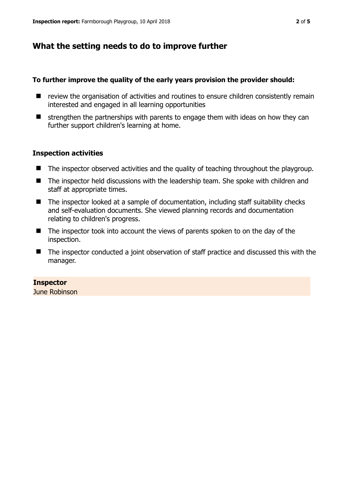## **What the setting needs to do to improve further**

#### **To further improve the quality of the early years provision the provider should:**

- review the organisation of activities and routines to ensure children consistently remain interested and engaged in all learning opportunities
- $\blacksquare$  strengthen the partnerships with parents to engage them with ideas on how they can further support children's learning at home.

#### **Inspection activities**

- The inspector observed activities and the quality of teaching throughout the playgroup.
- The inspector held discussions with the leadership team. She spoke with children and staff at appropriate times.
- The inspector looked at a sample of documentation, including staff suitability checks and self-evaluation documents. She viewed planning records and documentation relating to children's progress.
- The inspector took into account the views of parents spoken to on the day of the inspection.
- The inspector conducted a joint observation of staff practice and discussed this with the manager.

#### **Inspector**

June Robinson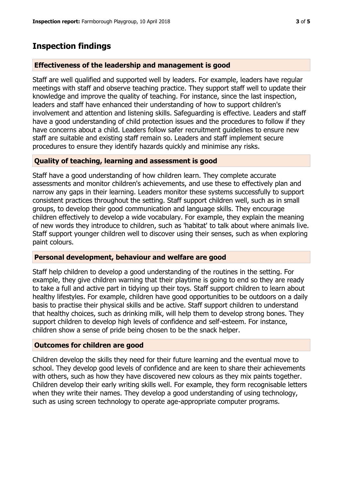## **Inspection findings**

#### **Effectiveness of the leadership and management is good**

Staff are well qualified and supported well by leaders. For example, leaders have regular meetings with staff and observe teaching practice. They support staff well to update their knowledge and improve the quality of teaching. For instance, since the last inspection, leaders and staff have enhanced their understanding of how to support children's involvement and attention and listening skills. Safeguarding is effective. Leaders and staff have a good understanding of child protection issues and the procedures to follow if they have concerns about a child. Leaders follow safer recruitment guidelines to ensure new staff are suitable and existing staff remain so. Leaders and staff implement secure procedures to ensure they identify hazards quickly and minimise any risks.

#### **Quality of teaching, learning and assessment is good**

Staff have a good understanding of how children learn. They complete accurate assessments and monitor children's achievements, and use these to effectively plan and narrow any gaps in their learning. Leaders monitor these systems successfully to support consistent practices throughout the setting. Staff support children well, such as in small groups, to develop their good communication and language skills. They encourage children effectively to develop a wide vocabulary. For example, they explain the meaning of new words they introduce to children, such as 'habitat' to talk about where animals live. Staff support younger children well to discover using their senses, such as when exploring paint colours.

#### **Personal development, behaviour and welfare are good**

Staff help children to develop a good understanding of the routines in the setting. For example, they give children warning that their playtime is going to end so they are ready to take a full and active part in tidying up their toys. Staff support children to learn about healthy lifestyles. For example, children have good opportunities to be outdoors on a daily basis to practise their physical skills and be active. Staff support children to understand that healthy choices, such as drinking milk, will help them to develop strong bones. They support children to develop high levels of confidence and self-esteem. For instance, children show a sense of pride being chosen to be the snack helper.

#### **Outcomes for children are good**

Children develop the skills they need for their future learning and the eventual move to school. They develop good levels of confidence and are keen to share their achievements with others, such as how they have discovered new colours as they mix paints together. Children develop their early writing skills well. For example, they form recognisable letters when they write their names. They develop a good understanding of using technology, such as using screen technology to operate age-appropriate computer programs.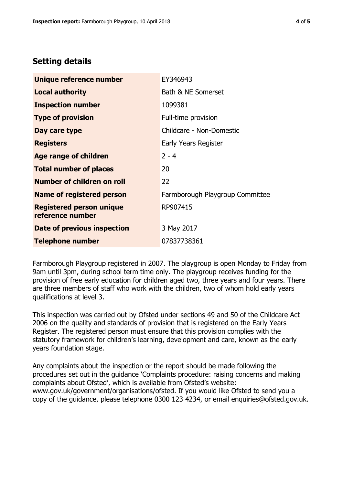## **Setting details**

| Unique reference number                             | EY346943                        |
|-----------------------------------------------------|---------------------------------|
| <b>Local authority</b>                              | Bath & NE Somerset              |
| <b>Inspection number</b>                            | 1099381                         |
| <b>Type of provision</b>                            | Full-time provision             |
| Day care type                                       | Childcare - Non-Domestic        |
| <b>Registers</b>                                    | Early Years Register            |
| <b>Age range of children</b>                        | $2 - 4$                         |
| <b>Total number of places</b>                       | 20                              |
| <b>Number of children on roll</b>                   | 22                              |
| Name of registered person                           | Farmborough Playgroup Committee |
| <b>Registered person unique</b><br>reference number | RP907415                        |
| Date of previous inspection                         | 3 May 2017                      |
| <b>Telephone number</b>                             | 07837738361                     |

Farmborough Playgroup registered in 2007. The playgroup is open Monday to Friday from 9am until 3pm, during school term time only. The playgroup receives funding for the provision of free early education for children aged two, three years and four years. There are three members of staff who work with the children, two of whom hold early years qualifications at level 3.

This inspection was carried out by Ofsted under sections 49 and 50 of the Childcare Act 2006 on the quality and standards of provision that is registered on the Early Years Register. The registered person must ensure that this provision complies with the statutory framework for children's learning, development and care, known as the early years foundation stage.

Any complaints about the inspection or the report should be made following the procedures set out in the guidance 'Complaints procedure: raising concerns and making complaints about Ofsted', which is available from Ofsted's website: www.gov.uk/government/organisations/ofsted. If you would like Ofsted to send you a copy of the guidance, please telephone 0300 123 4234, or email enquiries@ofsted.gov.uk.